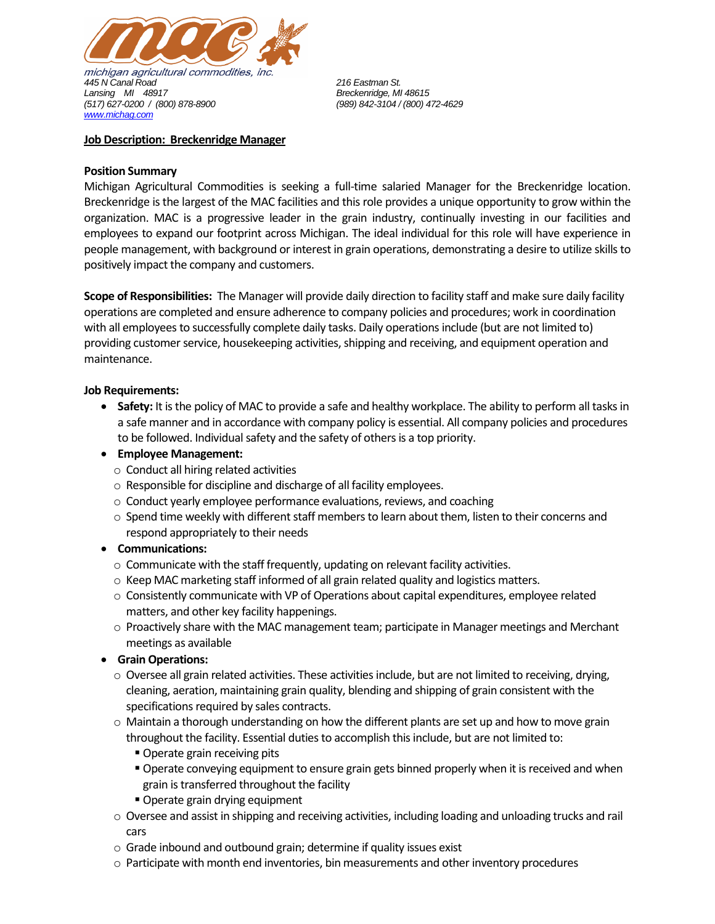

### **Job Description: Breckenridge Manager**

## **Position Summary**

Michigan Agricultural Commodities is seeking a full-time salaried Manager for the Breckenridge location. Breckenridge is the largest of the MAC facilities and this role provides a unique opportunity to grow within the organization. MAC is a progressive leader in the grain industry, continually investing in our facilities and employees to expand our footprint across Michigan. The ideal individual for this role will have experience in people management, with background or interest in grain operations, demonstrating a desire to utilize skills to positively impact the company and customers.

**Scope of Responsibilities:** The Manager will provide daily direction to facility staff and make sure daily facility operations are completed and ensure adherence to company policies and procedures; work in coordination with all employees to successfully complete daily tasks. Daily operations include (but are not limited to) providing customer service, housekeeping activities, shipping and receiving, and equipment operation and maintenance.

## **Job Requirements:**

- **Safety:** It is the policy of MAC to provide a safe and healthy workplace. The ability to perform all tasks in a safe manner and in accordance with company policy is essential. All company policies and procedures to be followed. Individual safety and the safety of others is a top priority.
- **Employee Management:** 
	- o Conduct all hiring related activities
	- o Responsible for discipline and discharge of all facility employees.
	- o Conduct yearly employee performance evaluations, reviews, and coaching
	- $\circ$  Spend time weekly with different staff members to learn about them, listen to their concerns and respond appropriately to their needs

# • **Communications:**

- o Communicate with the staff frequently, updating on relevant facility activities.
- o Keep MAC marketing staff informed of all grain related quality and logistics matters.
- o Consistently communicate with VP of Operations about capital expenditures, employee related matters, and other key facility happenings.
- o Proactively share with the MAC management team; participate in Manager meetings and Merchant meetings as available
- **Grain Operations:**
	- $\circ$  Oversee all grain related activities. These activities include, but are not limited to receiving, drying, cleaning, aeration, maintaining grain quality, blending and shipping of grain consistent with the specifications required by sales contracts.
	- $\circ$  Maintain a thorough understanding on how the different plants are set up and how to move grain throughout the facility. Essential duties to accomplish this include, but are not limited to:
		- Operate grain receiving pits
		- **Operate conveying equipment to ensure grain gets binned properly when it is received and when** grain is transferred throughout the facility
		- Operate grain drying equipment
	- $\circ$  Oversee and assist in shipping and receiving activities, including loading and unloading trucks and rail cars
	- o Grade inbound and outbound grain; determine if quality issues exist
	- $\circ$  Participate with month end inventories, bin measurements and other inventory procedures